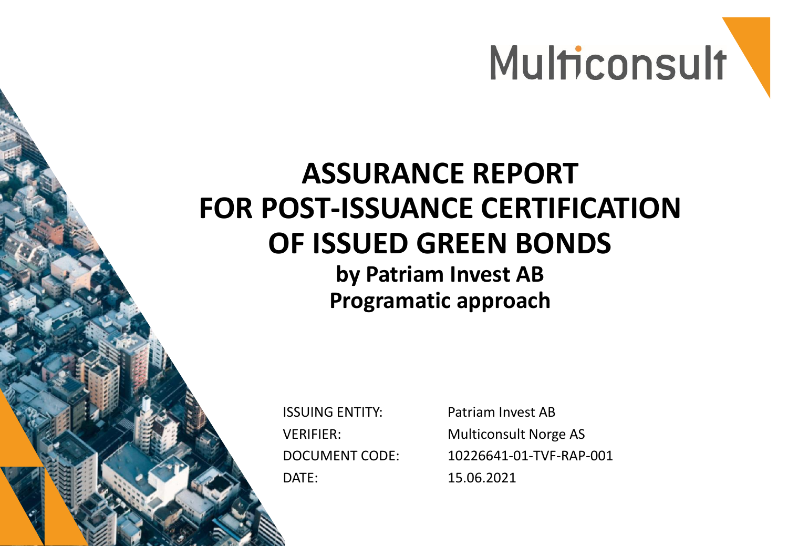

## **ASSURANCE REPORT FOR POST-ISSUANCE CERTIFICATION OF ISSUED GREEN BONDS**

**by Patriam Invest AB Programatic approach**

ISSUING ENTITY: VERIFIER: DOCUMENT CODE: DATE:

Patriam Invest AB Multiconsult Norge AS 10226641-01-TVF-RAP-001 15.06.2021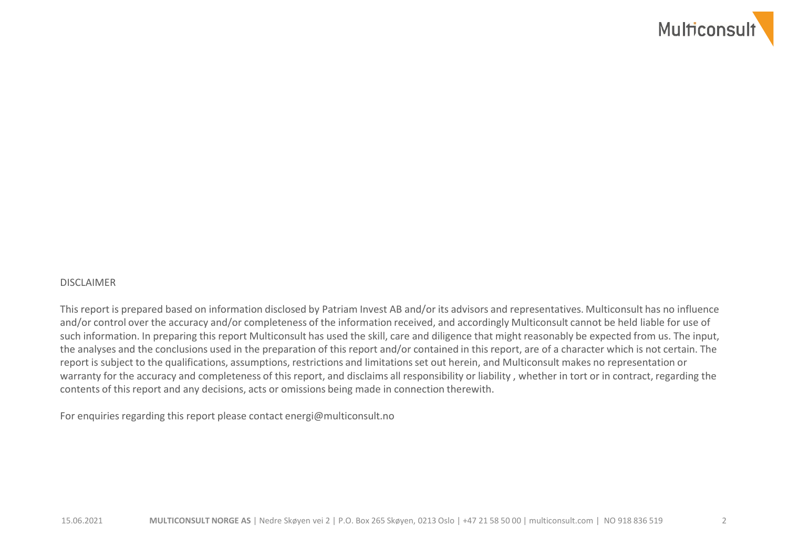

#### DISCLAIMER

This report is prepared based on information disclosed by Patriam Invest AB and/or its advisors and representatives. Multiconsult has no influence and/or control over the accuracy and/or completeness of the information received, and accordingly Multiconsult cannot be held liable for use of such information. In preparing this report Multiconsult has used the skill, care and diligence that might reasonably be expected from us. The input, the analyses and the conclusions used in the preparation of this report and/or contained in this report, are of a character which is not certain. The report is subject to the qualifications, assumptions, restrictions and limitations set out herein, and Multiconsult makes no representation or warranty for the accuracy and completeness of this report, and disclaims all responsibility or liability , whether in tort or in contract, regarding the contents of this report and any decisions, acts or omissions being made in connection therewith.

For enquiries regarding this report please contact energi@multiconsult.no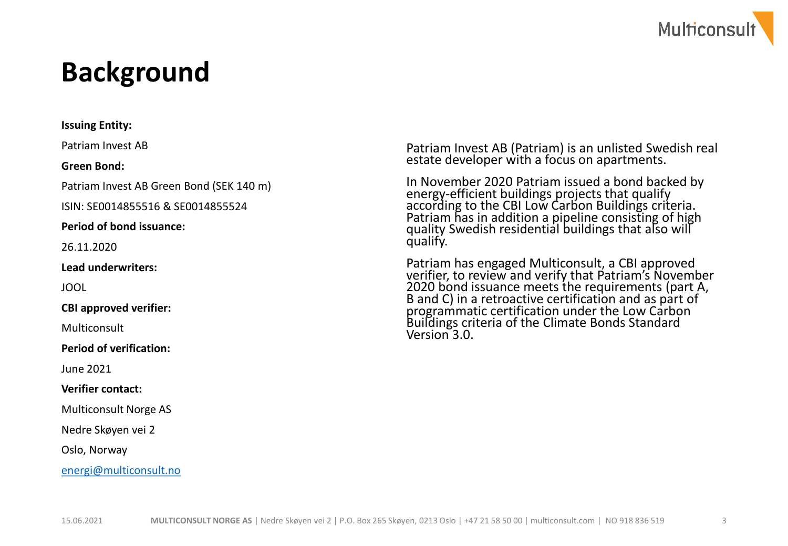

#### **Background**

**Issuing Entity:**  Patriam Invest AB **Green Bond:** Patriam Invest AB Green Bond (SEK 140 m) ISIN: SE0014855516 & SE0014855524 **Period of bond issuance:** 26.11.2020 **Lead underwriters:**  JOOL **CBI approved verifier:**  Multiconsult **Period of verification:** June 2021 **Verifier contact:**  Multiconsult Norge AS Nedre Skøyen vei 2 Oslo, Norway

[energi@multiconsult.no](file:///C:/Users/stj/AppData/Roaming/OpenText/OTEdit/EC_ec10livelink/c47240293/mailto_energi%40multiconsult.no)

Patriam Invest AB (Patriam) is an unlisted Swedish real estate developer with a focus on apartments.

In November 2020 Patriam issued a bond backed by energy-efficient buildings projects that qualify according to the CBI Low Carbon Buildings criteria. Patriam has in addition a pipeline consisting of high quality Swedish residential buildings that also will qualify.

Patriam has engaged Multiconsult, a CBI approved verifier, to review and verify that Patriam's November 2020 bond issuance meets the requirements (part A, B and C) in a retroactive certification and as part of programmatic certification under the Low Carbon Buildings criteria of the Climate Bonds Standard Version 3.0.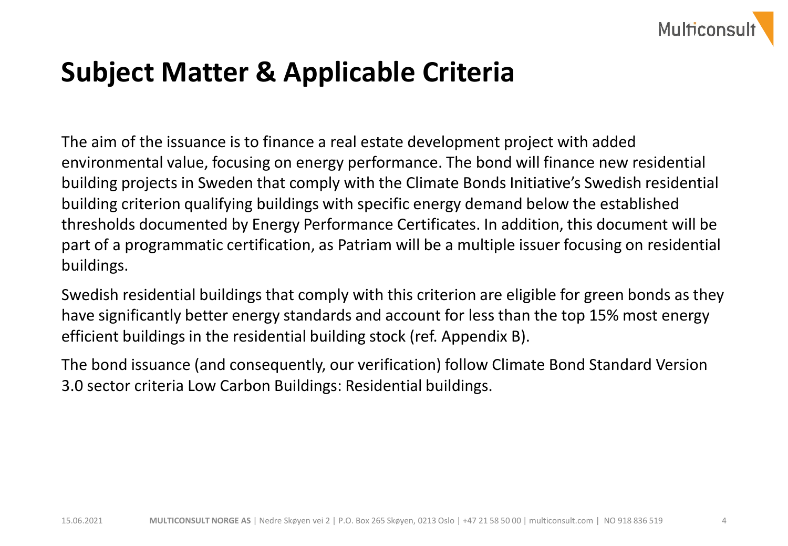

#### **Subject Matter & Applicable Criteria**

The aim of the issuance is to finance a real estate development project with added environmental value, focusing on energy performance. The bond will finance new residential building projects in Sweden that comply with the Climate Bonds Initiative's Swedish residential building criterion qualifying buildings with specific energy demand below the established thresholds documented by Energy Performance Certificates. In addition, this document will be part of a programmatic certification, as Patriam will be a multiple issuer focusing on residential buildings.

Swedish residential buildings that comply with this criterion are eligible for green bonds as they have significantly better energy standards and account for less than the top 15% most energy efficient buildings in the residential building stock (ref. Appendix B).

The bond issuance (and consequently, our verification) follow Climate Bond Standard Version 3.0 sector criteria Low Carbon Buildings: Residential buildings.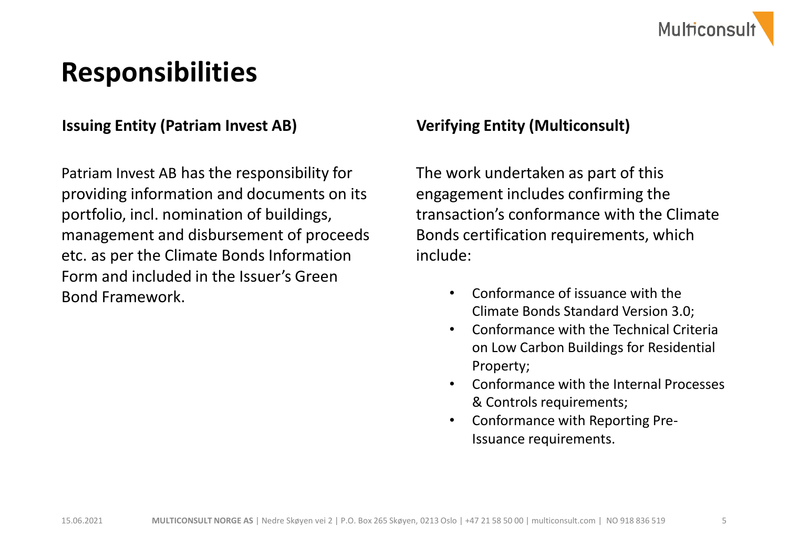

#### **Responsibilities**

#### **Issuing Entity (Patriam Invest AB) Verifying Entity (Multiconsult)**

Patriam Invest AB has the responsibility for providing information and documents on its portfolio, incl. nomination of buildings, management and disbursement of proceeds etc. as per the Climate Bonds Information Form and included in the Issuer's Green Bond Framework.

The work undertaken as part of this engagement includes confirming the transaction's conformance with the Climate Bonds certification requirements, which include:

- Conformance of issuance with the Climate Bonds Standard Version 3.0;
- Conformance with the Technical Criteria on Low Carbon Buildings for Residential Property;
- Conformance with the Internal Processes & Controls requirements;
- Conformance with Reporting Pre-Issuance requirements.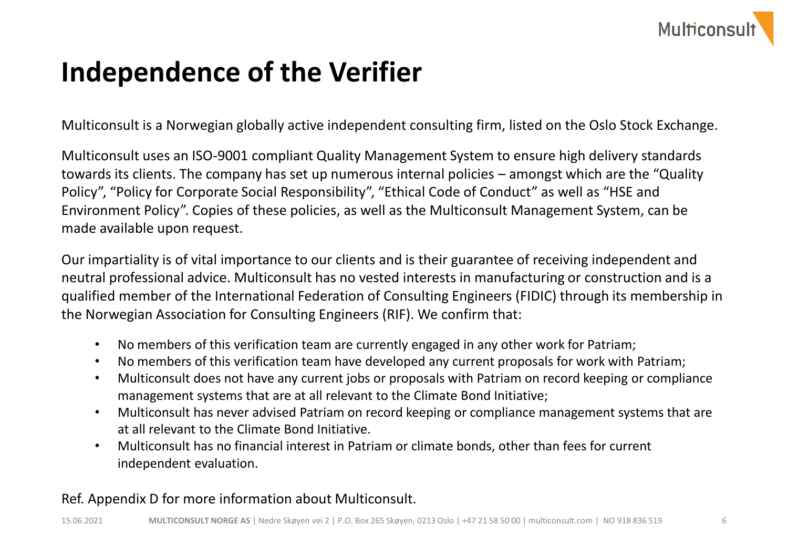

### **Independence of the Verifier**

Multiconsult is a Norwegian globally active independent consulting firm, listed on the Oslo Stock Exchange.

Multiconsult uses an ISO-9001 compliant Quality Management System to ensure high delivery standards towards its clients. The company has set up numerous internal policies – amongst which are the "Quality Policy", "Policy for Corporate Social Responsibility", "Ethical Code of Conduct" as well as "HSE and Environment Policy". Copies of these policies, as well as the Multiconsult Management System, can be made available upon request.

Our impartiality is of vital importance to our clients and is their guarantee of receiving independent and neutral professional advice. Multiconsult has no vested interests in manufacturing or construction and is a qualified member of the International Federation of Consulting Engineers (FIDIC) through its membership in the Norwegian Association for Consulting Engineers (RIF). We confirm that:

- No members of this verification team are currently engaged in any other work for Patriam;
- No members of this verification team have developed any current proposals for work with Patriam;
- Multiconsult does not have any current jobs or proposals with Patriam on record keeping or compliance management systems that are at all relevant to the Climate Bond Initiative;
- Multiconsult has never advised Patriam on record keeping or compliance management systems that are at all relevant to the Climate Bond Initiative.
- Multiconsult has no financial interest in Patriam or climate bonds, other than fees for current independent evaluation.

#### Ref. Appendix D for more information about Multiconsult.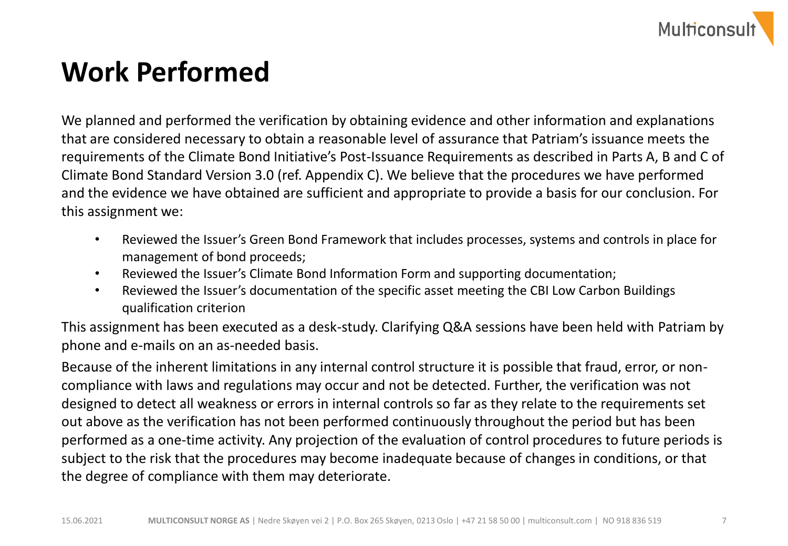

### **Work Performed**

We planned and performed the verification by obtaining evidence and other information and explanations that are considered necessary to obtain a reasonable level of assurance that Patriam's issuance meets the requirements of the Climate Bond Initiative's Post-Issuance Requirements as described in Parts A, B and C of Climate Bond Standard Version 3.0 (ref. Appendix C). We believe that the procedures we have performed and the evidence we have obtained are sufficient and appropriate to provide a basis for our conclusion. For this assignment we:

- Reviewed the Issuer's Green Bond Framework that includes processes, systems and controls in place for management of bond proceeds;
- Reviewed the Issuer's Climate Bond Information Form and supporting documentation;
- Reviewed the Issuer's documentation of the specific asset meeting the CBI Low Carbon Buildings qualification criterion

This assignment has been executed as a desk-study. Clarifying Q&A sessions have been held with Patriam by phone and e-mails on an as-needed basis.

Because of the inherent limitations in any internal control structure it is possible that fraud, error, or noncompliance with laws and regulations may occur and not be detected. Further, the verification was not designed to detect all weakness or errors in internal controls so far as they relate to the requirements set out above as the verification has not been performed continuously throughout the period but has been performed as a one-time activity. Any projection of the evaluation of control procedures to future periods is subject to the risk that the procedures may become inadequate because of changes in conditions, or that the degree of compliance with them may deteriorate.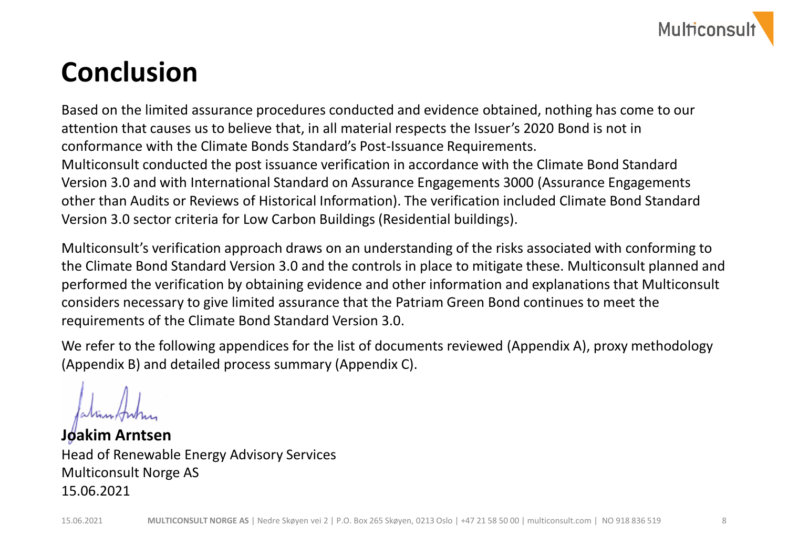

#### **Conclusion**

Based on the limited assurance procedures conducted and evidence obtained, nothing has come to our attention that causes us to believe that, in all material respects the Issuer's 2020 Bond is not in conformance with the Climate Bonds Standard's Post-Issuance Requirements. Multiconsult conducted the post issuance verification in accordance with the Climate Bond Standard Version 3.0 and with International Standard on Assurance Engagements 3000 (Assurance Engagements other than Audits or Reviews of Historical Information). The verification included Climate Bond Standard Version 3.0 sector criteria for Low Carbon Buildings (Residential buildings).

Multiconsult's verification approach draws on an understanding of the risks associated with conforming to the Climate Bond Standard Version 3.0 and the controls in place to mitigate these. Multiconsult planned and performed the verification by obtaining evidence and other information and explanations that Multiconsult considers necessary to give limited assurance that the Patriam Green Bond continues to meet the requirements of the Climate Bond Standard Version 3.0.

We refer to the following appendices for the list of documents reviewed (Appendix A), proxy methodology (Appendix B) and detailed process summary (Appendix C).

**Joakim Arntsen** Head of Renewable Energy Advisory Services Multiconsult Norge AS 15.06.2021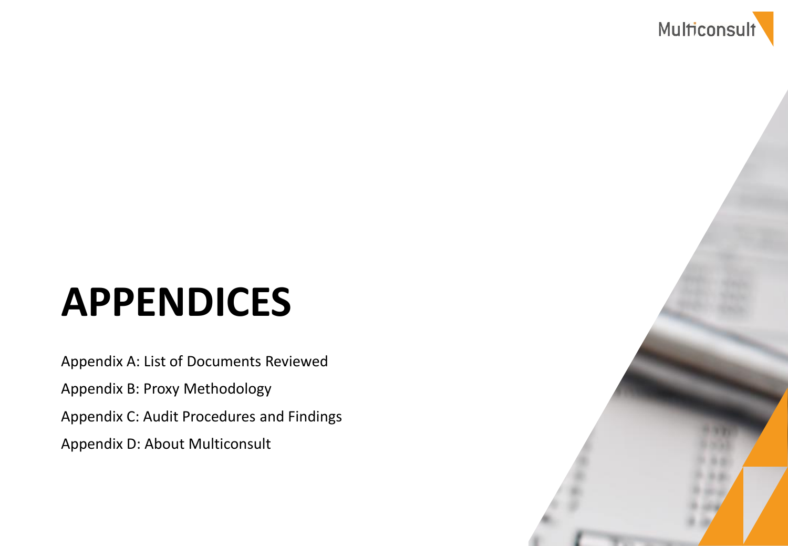

# **APPENDICES**

Appendix A: List of Documents Reviewed Appendix B: Proxy Methodology Appendix C: Audit Procedures and Findings Appendix D: About Multiconsult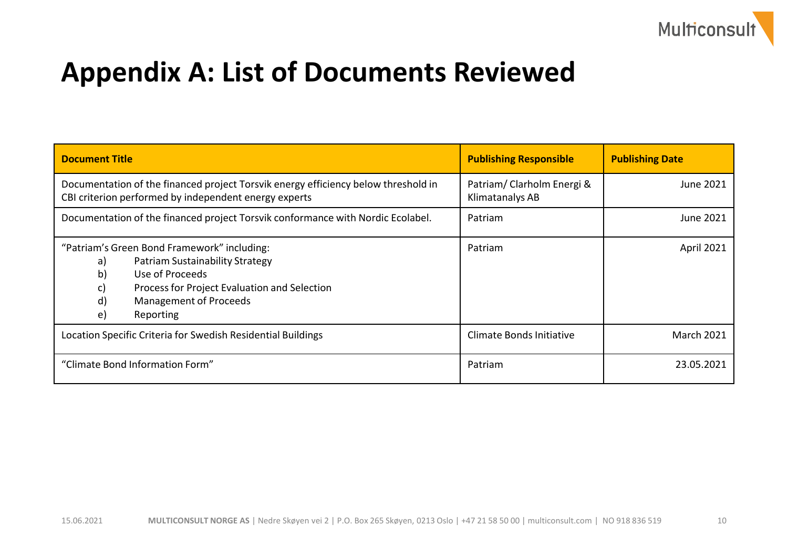

#### **Appendix A: List of Documents Reviewed**

| <b>Document Title</b>                                                                                                                                                                                                                | <b>Publishing Responsible</b>                | <b>Publishing Date</b> |
|--------------------------------------------------------------------------------------------------------------------------------------------------------------------------------------------------------------------------------------|----------------------------------------------|------------------------|
| Documentation of the financed project Torsvik energy efficiency below threshold in<br>CBI criterion performed by independent energy experts                                                                                          | Patriam/Clarholm Energi &<br>Klimatanalys AB | June 2021              |
| Documentation of the financed project Torsvik conformance with Nordic Ecolabel.                                                                                                                                                      | Patriam                                      | June 2021              |
| "Patriam's Green Bond Framework" including:<br><b>Patriam Sustainability Strategy</b><br>a)<br>Use of Proceeds<br>b)<br>Process for Project Evaluation and Selection<br>c)<br>d)<br><b>Management of Proceeds</b><br>Reporting<br>e) | Patriam                                      | April 2021             |
| Location Specific Criteria for Swedish Residential Buildings                                                                                                                                                                         | Climate Bonds Initiative                     | <b>March 2021</b>      |
| "Climate Bond Information Form"                                                                                                                                                                                                      | Patriam                                      | 23.05.2021             |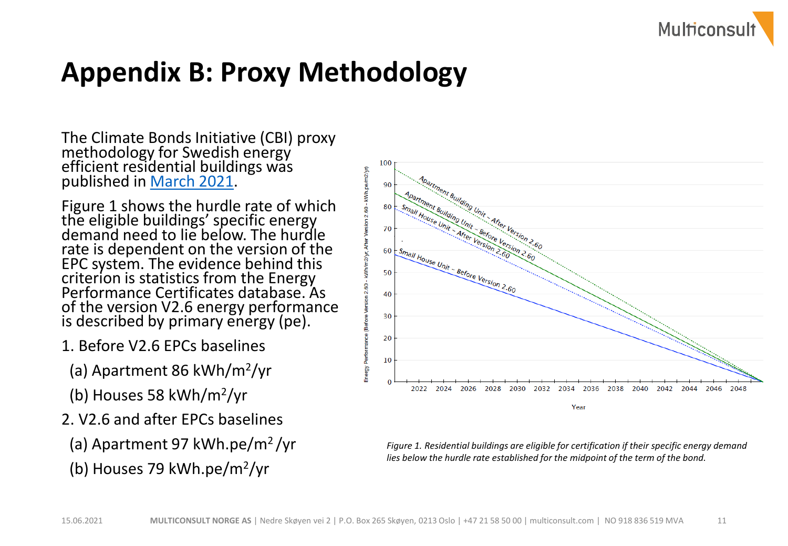

#### **Appendix B: Proxy Methodology**

The Climate Bonds Initiative (CBI) proxy methodology for Swedish energy efficient residential buildings was published in [March 2021](https://www.climatebonds.net/standard/buildings/residential/calculator).

Figure 1 shows the hurdle rate of which the eligible buildings' specific energy demand need to lie below. The hurdle rate is dependent on the version of the EPC system. The evidence behind this criterion is statistics from the Energy Performance Certificates database. As of the version V2.6 energy performance is described by primary energy (pe).

- 1. Before V2.6 EPCs baselines
	- (a) Apartment 86 kWh/m<sup>2</sup> /yr
- (b) Houses 58 kWh/m<sup>2</sup> /yr
- 2. V2.6 and after EPCs baselines
- (a) Apartment 97 kWh.pe/m<sup>2</sup>/yr
- (b) Houses 79 kWh.pe/m<sup>2</sup> /yr



*Figure 1. Residential buildings are eligible for certification if their specific energy demand lies below the hurdle rate established for the midpoint of the term of the bond.*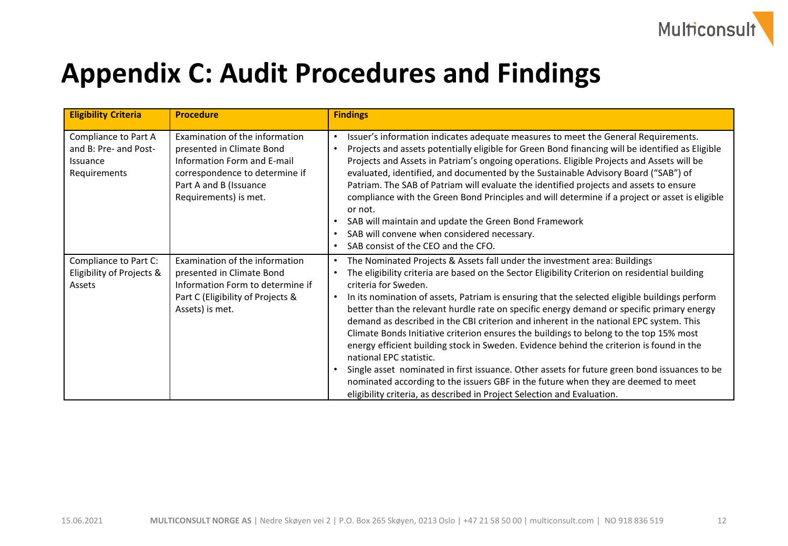

## **Appendix C: Audit Procedures and Findings**

| <b>Eligibility Criteria</b>                                               | <b>Procedure</b>                                                                                                                                                                | <b>Findings</b>                                                                                                                                                                                                                                                                                                                                                                                                                                                                                                                                                                                                                                                                                                                                                                                                                                                                                                                                                                                                     |
|---------------------------------------------------------------------------|---------------------------------------------------------------------------------------------------------------------------------------------------------------------------------|---------------------------------------------------------------------------------------------------------------------------------------------------------------------------------------------------------------------------------------------------------------------------------------------------------------------------------------------------------------------------------------------------------------------------------------------------------------------------------------------------------------------------------------------------------------------------------------------------------------------------------------------------------------------------------------------------------------------------------------------------------------------------------------------------------------------------------------------------------------------------------------------------------------------------------------------------------------------------------------------------------------------|
| Compliance to Part A<br>and B: Pre- and Post-<br>Issuance<br>Requirements | Examination of the information<br>presented in Climate Bond<br>Information Form and E-mail<br>correspondence to determine if<br>Part A and B (Issuance<br>Requirements) is met. | Issuer's information indicates adequate measures to meet the General Requirements.<br>$\bullet$<br>Projects and assets potentially eligible for Green Bond financing will be identified as Eligible<br>$\bullet$<br>Projects and Assets in Patriam's ongoing operations. Eligible Projects and Assets will be<br>evaluated, identified, and documented by the Sustainable Advisory Board ("SAB") of<br>Patriam. The SAB of Patriam will evaluate the identified projects and assets to ensure<br>compliance with the Green Bond Principles and will determine if a project or asset is eligible<br>or not.<br>SAB will maintain and update the Green Bond Framework<br>SAB will convene when considered necessary.<br>$\bullet$<br>SAB consist of the CEO and the CFO.<br>$\bullet$                                                                                                                                                                                                                                 |
| Compliance to Part C:<br>Eligibility of Projects &<br>Assets              | Examination of the information<br>presented in Climate Bond<br>Information Form to determine if<br>Part C (Eligibility of Projects &<br>Assets) is met.                         | The Nominated Projects & Assets fall under the investment area: Buildings<br>$\bullet$<br>The eligibility criteria are based on the Sector Eligibility Criterion on residential building<br>$\bullet$<br>criteria for Sweden.<br>In its nomination of assets, Patriam is ensuring that the selected eligible buildings perform<br>$\bullet$<br>better than the relevant hurdle rate on specific energy demand or specific primary energy<br>demand as described in the CBI criterion and inherent in the national EPC system. This<br>Climate Bonds Initiative criterion ensures the buildings to belong to the top 15% most<br>energy efficient building stock in Sweden. Evidence behind the criterion is found in the<br>national EPC statistic.<br>Single asset nominated in first issuance. Other assets for future green bond issuances to be<br>nominated according to the issuers GBF in the future when they are deemed to meet<br>eligibility criteria, as described in Project Selection and Evaluation. |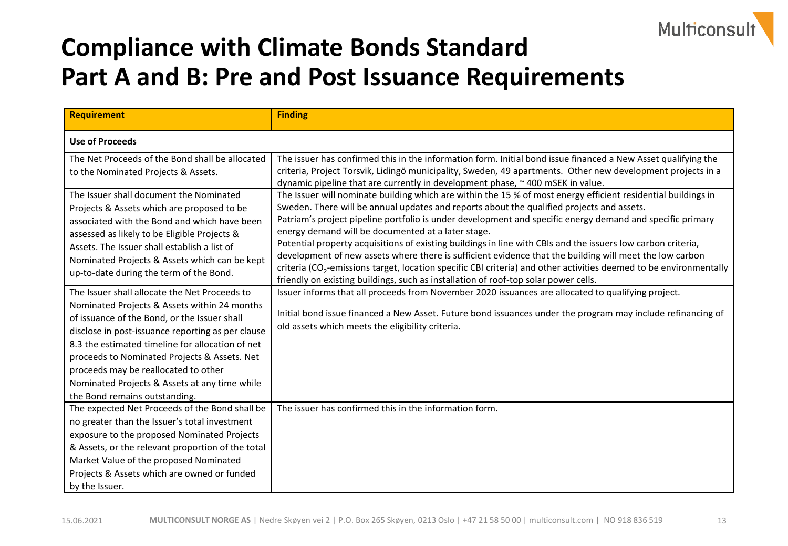

#### **Compliance with Climate Bonds Standard Part A and B: Pre and Post Issuance Requirements**

| <b>Requirement</b>                                                                                                                                                                                                                                                                                                                                                                                                               | <b>Finding</b>                                                                                                                                                                                                                                                                                                                                                                                                                                                                                                                                                                                                                                                                                                                                                                                                                    |
|----------------------------------------------------------------------------------------------------------------------------------------------------------------------------------------------------------------------------------------------------------------------------------------------------------------------------------------------------------------------------------------------------------------------------------|-----------------------------------------------------------------------------------------------------------------------------------------------------------------------------------------------------------------------------------------------------------------------------------------------------------------------------------------------------------------------------------------------------------------------------------------------------------------------------------------------------------------------------------------------------------------------------------------------------------------------------------------------------------------------------------------------------------------------------------------------------------------------------------------------------------------------------------|
| <b>Use of Proceeds</b>                                                                                                                                                                                                                                                                                                                                                                                                           |                                                                                                                                                                                                                                                                                                                                                                                                                                                                                                                                                                                                                                                                                                                                                                                                                                   |
| The Net Proceeds of the Bond shall be allocated<br>to the Nominated Projects & Assets.                                                                                                                                                                                                                                                                                                                                           | The issuer has confirmed this in the information form. Initial bond issue financed a New Asset qualifying the<br>criteria, Project Torsvik, Lidingö municipality, Sweden, 49 apartments. Other new development projects in a<br>dynamic pipeline that are currently in development phase, ~400 mSEK in value.                                                                                                                                                                                                                                                                                                                                                                                                                                                                                                                     |
| The Issuer shall document the Nominated<br>Projects & Assets which are proposed to be<br>associated with the Bond and which have been<br>assessed as likely to be Eligible Projects &<br>Assets. The Issuer shall establish a list of<br>Nominated Projects & Assets which can be kept<br>up-to-date during the term of the Bond.                                                                                                | The Issuer will nominate building which are within the 15 % of most energy efficient residential buildings in<br>Sweden. There will be annual updates and reports about the qualified projects and assets.<br>Patriam's project pipeline portfolio is under development and specific energy demand and specific primary<br>energy demand will be documented at a later stage.<br>Potential property acquisitions of existing buildings in line with CBIs and the issuers low carbon criteria,<br>development of new assets where there is sufficient evidence that the building will meet the low carbon<br>criteria (CO <sub>2</sub> -emissions target, location specific CBI criteria) and other activities deemed to be environmentally<br>friendly on existing buildings, such as installation of roof-top solar power cells. |
| The Issuer shall allocate the Net Proceeds to<br>Nominated Projects & Assets within 24 months<br>of issuance of the Bond, or the Issuer shall<br>disclose in post-issuance reporting as per clause<br>8.3 the estimated timeline for allocation of net<br>proceeds to Nominated Projects & Assets. Net<br>proceeds may be reallocated to other<br>Nominated Projects & Assets at any time while<br>the Bond remains outstanding. | Issuer informs that all proceeds from November 2020 issuances are allocated to qualifying project.<br>Initial bond issue financed a New Asset. Future bond issuances under the program may include refinancing of<br>old assets which meets the eligibility criteria.                                                                                                                                                                                                                                                                                                                                                                                                                                                                                                                                                             |
| The expected Net Proceeds of the Bond shall be<br>no greater than the Issuer's total investment<br>exposure to the proposed Nominated Projects<br>& Assets, or the relevant proportion of the total<br>Market Value of the proposed Nominated<br>Projects & Assets which are owned or funded<br>by the Issuer.                                                                                                                   | The issuer has confirmed this in the information form.                                                                                                                                                                                                                                                                                                                                                                                                                                                                                                                                                                                                                                                                                                                                                                            |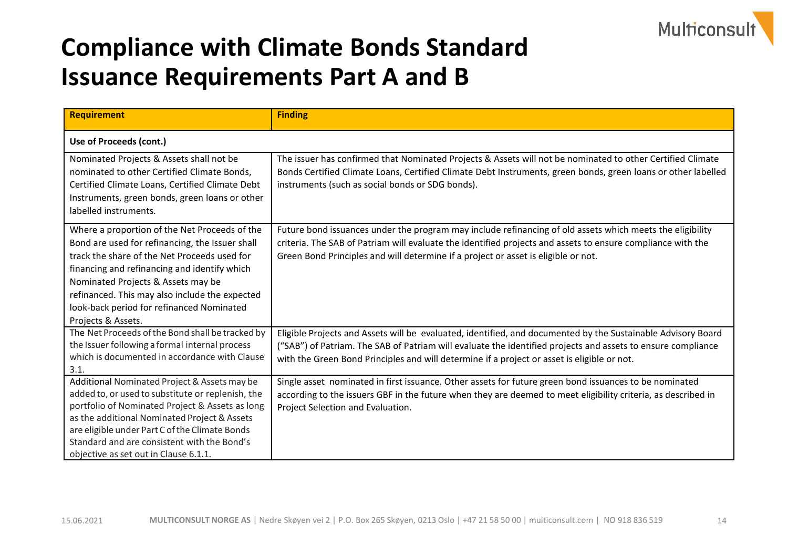

| <b>Requirement</b>                                                                                                                                                                                                                                                                                                                                          | <b>Finding</b>                                                                                                                                                                                                                                                                                                              |
|-------------------------------------------------------------------------------------------------------------------------------------------------------------------------------------------------------------------------------------------------------------------------------------------------------------------------------------------------------------|-----------------------------------------------------------------------------------------------------------------------------------------------------------------------------------------------------------------------------------------------------------------------------------------------------------------------------|
| Use of Proceeds (cont.)                                                                                                                                                                                                                                                                                                                                     |                                                                                                                                                                                                                                                                                                                             |
| Nominated Projects & Assets shall not be<br>nominated to other Certified Climate Bonds,<br>Certified Climate Loans, Certified Climate Debt<br>Instruments, green bonds, green loans or other<br>labelled instruments.                                                                                                                                       | The issuer has confirmed that Nominated Projects & Assets will not be nominated to other Certified Climate<br>Bonds Certified Climate Loans, Certified Climate Debt Instruments, green bonds, green loans or other labelled<br>instruments (such as social bonds or SDG bonds).                                             |
| Where a proportion of the Net Proceeds of the<br>Bond are used for refinancing, the Issuer shall<br>track the share of the Net Proceeds used for<br>financing and refinancing and identify which<br>Nominated Projects & Assets may be<br>refinanced. This may also include the expected<br>look-back period for refinanced Nominated<br>Projects & Assets. | Future bond issuances under the program may include refinancing of old assets which meets the eligibility<br>criteria. The SAB of Patriam will evaluate the identified projects and assets to ensure compliance with the<br>Green Bond Principles and will determine if a project or asset is eligible or not.              |
| The Net Proceeds of the Bond shall be tracked by<br>the Issuer following a formal internal process<br>which is documented in accordance with Clause<br>3.1.                                                                                                                                                                                                 | Eligible Projects and Assets will be evaluated, identified, and documented by the Sustainable Advisory Board<br>("SAB") of Patriam. The SAB of Patriam will evaluate the identified projects and assets to ensure compliance<br>with the Green Bond Principles and will determine if a project or asset is eligible or not. |
| Additional Nominated Project & Assets may be<br>added to, or used to substitute or replenish, the<br>portfolio of Nominated Project & Assets as long<br>as the additional Nominated Project & Assets<br>are eligible under Part C of the Climate Bonds<br>Standard and are consistent with the Bond's<br>objective as set out in Clause 6.1.1.              | Single asset nominated in first issuance. Other assets for future green bond issuances to be nominated<br>according to the issuers GBF in the future when they are deemed to meet eligibility criteria, as described in<br>Project Selection and Evaluation.                                                                |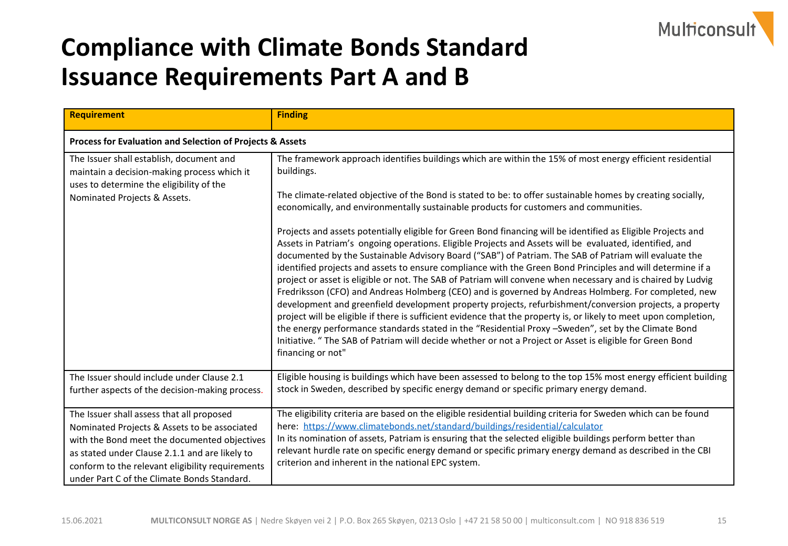

| <b>Requirement</b>                                                                                                                                                                                                                                                                             | <b>Finding</b>                                                                                                                                                                                                                                                                                                                                                                                                                                                                                                                                                                                                                                                                                                                                                                                                                                                                                                                                                                                                                                                                                                                                                                                                                                                                                                                                                                                                                                                                      |
|------------------------------------------------------------------------------------------------------------------------------------------------------------------------------------------------------------------------------------------------------------------------------------------------|-------------------------------------------------------------------------------------------------------------------------------------------------------------------------------------------------------------------------------------------------------------------------------------------------------------------------------------------------------------------------------------------------------------------------------------------------------------------------------------------------------------------------------------------------------------------------------------------------------------------------------------------------------------------------------------------------------------------------------------------------------------------------------------------------------------------------------------------------------------------------------------------------------------------------------------------------------------------------------------------------------------------------------------------------------------------------------------------------------------------------------------------------------------------------------------------------------------------------------------------------------------------------------------------------------------------------------------------------------------------------------------------------------------------------------------------------------------------------------------|
| Process for Evaluation and Selection of Projects & Assets                                                                                                                                                                                                                                      |                                                                                                                                                                                                                                                                                                                                                                                                                                                                                                                                                                                                                                                                                                                                                                                                                                                                                                                                                                                                                                                                                                                                                                                                                                                                                                                                                                                                                                                                                     |
| The Issuer shall establish, document and<br>maintain a decision-making process which it<br>uses to determine the eligibility of the<br>Nominated Projects & Assets.                                                                                                                            | The framework approach identifies buildings which are within the 15% of most energy efficient residential<br>buildings.<br>The climate-related objective of the Bond is stated to be: to offer sustainable homes by creating socially,<br>economically, and environmentally sustainable products for customers and communities.<br>Projects and assets potentially eligible for Green Bond financing will be identified as Eligible Projects and<br>Assets in Patriam's ongoing operations. Eligible Projects and Assets will be evaluated, identified, and<br>documented by the Sustainable Advisory Board ("SAB") of Patriam. The SAB of Patriam will evaluate the<br>identified projects and assets to ensure compliance with the Green Bond Principles and will determine if a<br>project or asset is eligible or not. The SAB of Patriam will convene when necessary and is chaired by Ludvig<br>Fredriksson (CFO) and Andreas Holmberg (CEO) and is governed by Andreas Holmberg. For completed, new<br>development and greenfield development property projects, refurbishment/conversion projects, a property<br>project will be eligible if there is sufficient evidence that the property is, or likely to meet upon completion,<br>the energy performance standards stated in the "Residential Proxy -Sweden", set by the Climate Bond<br>Initiative. " The SAB of Patriam will decide whether or not a Project or Asset is eligible for Green Bond<br>financing or not" |
| The Issuer should include under Clause 2.1<br>further aspects of the decision-making process.                                                                                                                                                                                                  | Eligible housing is buildings which have been assessed to belong to the top 15% most energy efficient building<br>stock in Sweden, described by specific energy demand or specific primary energy demand.                                                                                                                                                                                                                                                                                                                                                                                                                                                                                                                                                                                                                                                                                                                                                                                                                                                                                                                                                                                                                                                                                                                                                                                                                                                                           |
| The Issuer shall assess that all proposed<br>Nominated Projects & Assets to be associated<br>with the Bond meet the documented objectives<br>as stated under Clause 2.1.1 and are likely to<br>conform to the relevant eligibility requirements<br>under Part C of the Climate Bonds Standard. | The eligibility criteria are based on the eligible residential building criteria for Sweden which can be found<br>here: https://www.climatebonds.net/standard/buildings/residential/calculator<br>In its nomination of assets, Patriam is ensuring that the selected eligible buildings perform better than<br>relevant hurdle rate on specific energy demand or specific primary energy demand as described in the CBI<br>criterion and inherent in the national EPC system.                                                                                                                                                                                                                                                                                                                                                                                                                                                                                                                                                                                                                                                                                                                                                                                                                                                                                                                                                                                                       |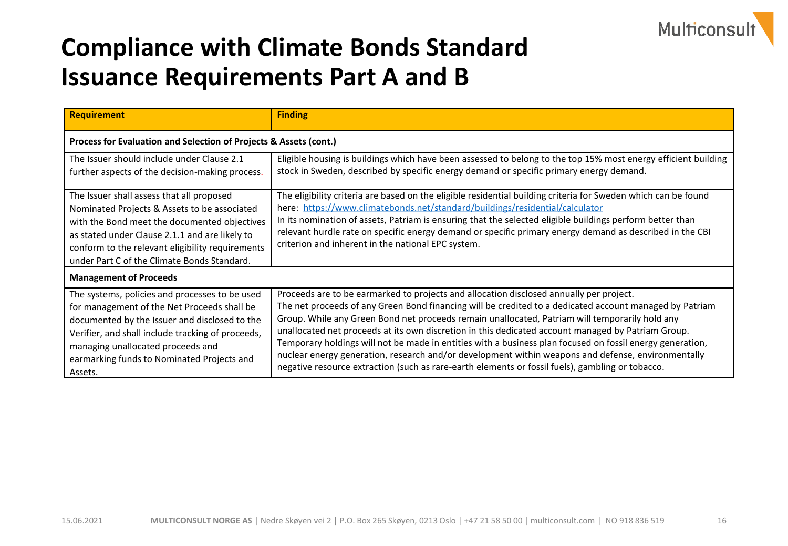

| <b>Requirement</b>                                                                                                                                                                                                                                                                                | <b>Finding</b>                                                                                                                                                                                                                                                                                                                                                                                                                                                                                                                                                                                                                                                                                                                    |  |
|---------------------------------------------------------------------------------------------------------------------------------------------------------------------------------------------------------------------------------------------------------------------------------------------------|-----------------------------------------------------------------------------------------------------------------------------------------------------------------------------------------------------------------------------------------------------------------------------------------------------------------------------------------------------------------------------------------------------------------------------------------------------------------------------------------------------------------------------------------------------------------------------------------------------------------------------------------------------------------------------------------------------------------------------------|--|
| Process for Evaluation and Selection of Projects & Assets (cont.)                                                                                                                                                                                                                                 |                                                                                                                                                                                                                                                                                                                                                                                                                                                                                                                                                                                                                                                                                                                                   |  |
| The Issuer should include under Clause 2.1<br>further aspects of the decision-making process.                                                                                                                                                                                                     | Eligible housing is buildings which have been assessed to belong to the top 15% most energy efficient building<br>stock in Sweden, described by specific energy demand or specific primary energy demand.                                                                                                                                                                                                                                                                                                                                                                                                                                                                                                                         |  |
| The Issuer shall assess that all proposed<br>Nominated Projects & Assets to be associated<br>with the Bond meet the documented objectives<br>as stated under Clause 2.1.1 and are likely to<br>conform to the relevant eligibility requirements<br>under Part C of the Climate Bonds Standard.    | The eligibility criteria are based on the eligible residential building criteria for Sweden which can be found<br>here: https://www.climatebonds.net/standard/buildings/residential/calculator<br>In its nomination of assets, Patriam is ensuring that the selected eligible buildings perform better than<br>relevant hurdle rate on specific energy demand or specific primary energy demand as described in the CBI<br>criterion and inherent in the national EPC system.                                                                                                                                                                                                                                                     |  |
| <b>Management of Proceeds</b>                                                                                                                                                                                                                                                                     |                                                                                                                                                                                                                                                                                                                                                                                                                                                                                                                                                                                                                                                                                                                                   |  |
| The systems, policies and processes to be used<br>for management of the Net Proceeds shall be<br>documented by the Issuer and disclosed to the<br>Verifier, and shall include tracking of proceeds,<br>managing unallocated proceeds and<br>earmarking funds to Nominated Projects and<br>Assets. | Proceeds are to be earmarked to projects and allocation disclosed annually per project.<br>The net proceeds of any Green Bond financing will be credited to a dedicated account managed by Patriam<br>Group. While any Green Bond net proceeds remain unallocated, Patriam will temporarily hold any<br>unallocated net proceeds at its own discretion in this dedicated account managed by Patriam Group.<br>Temporary holdings will not be made in entities with a business plan focused on fossil energy generation,<br>nuclear energy generation, research and/or development within weapons and defense, environmentally<br>negative resource extraction (such as rare-earth elements or fossil fuels), gambling or tobacco. |  |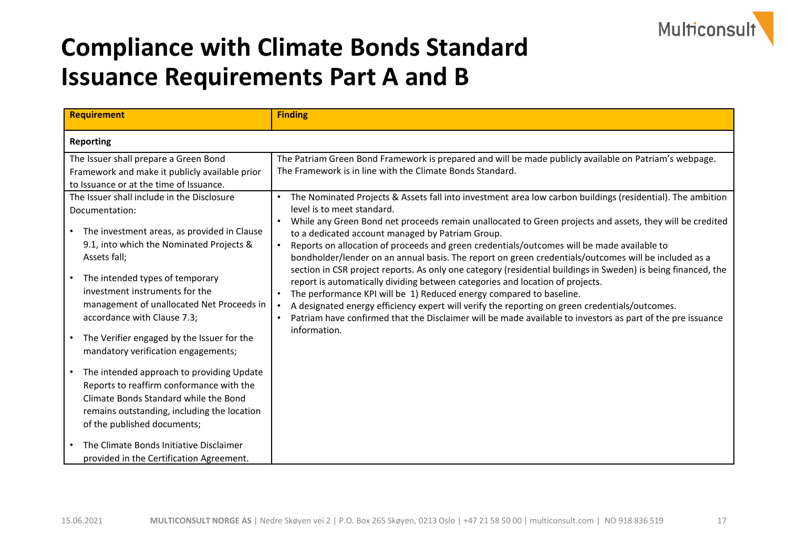

| <b>Requirement</b>                                                                                                                                                                                                                                                                                                                                                                                            | <b>Finding</b>                                                                                                                                                                                                                                                                                                                                                                                                                                                                                                                                                                                                                                                                                                                                                                                                                                                                                                                                                                                                                       |
|---------------------------------------------------------------------------------------------------------------------------------------------------------------------------------------------------------------------------------------------------------------------------------------------------------------------------------------------------------------------------------------------------------------|--------------------------------------------------------------------------------------------------------------------------------------------------------------------------------------------------------------------------------------------------------------------------------------------------------------------------------------------------------------------------------------------------------------------------------------------------------------------------------------------------------------------------------------------------------------------------------------------------------------------------------------------------------------------------------------------------------------------------------------------------------------------------------------------------------------------------------------------------------------------------------------------------------------------------------------------------------------------------------------------------------------------------------------|
| <b>Reporting</b>                                                                                                                                                                                                                                                                                                                                                                                              |                                                                                                                                                                                                                                                                                                                                                                                                                                                                                                                                                                                                                                                                                                                                                                                                                                                                                                                                                                                                                                      |
| The Issuer shall prepare a Green Bond<br>Framework and make it publicly available prior<br>to Issuance or at the time of Issuance.                                                                                                                                                                                                                                                                            | The Patriam Green Bond Framework is prepared and will be made publicly available on Patriam's webpage.<br>The Framework is in line with the Climate Bonds Standard.                                                                                                                                                                                                                                                                                                                                                                                                                                                                                                                                                                                                                                                                                                                                                                                                                                                                  |
| The Issuer shall include in the Disclosure<br>Documentation:<br>The investment areas, as provided in Clause<br>9.1, into which the Nominated Projects &<br>Assets fall;<br>The intended types of temporary<br>investment instruments for the<br>management of unallocated Net Proceeds in<br>accordance with Clause 7.3;<br>The Verifier engaged by the Issuer for the<br>mandatory verification engagements; | The Nominated Projects & Assets fall into investment area low carbon buildings (residential). The ambition<br>level is to meet standard.<br>While any Green Bond net proceeds remain unallocated to Green projects and assets, they will be credited<br>to a dedicated account managed by Patriam Group.<br>Reports on allocation of proceeds and green credentials/outcomes will be made available to<br>bondholder/lender on an annual basis. The report on green credentials/outcomes will be included as a<br>section in CSR project reports. As only one category (residential buildings in Sweden) is being financed, the<br>report is automatically dividing between categories and location of projects.<br>The performance KPI will be 1) Reduced energy compared to baseline.<br>A designated energy efficiency expert will verify the reporting on green credentials/outcomes.<br>Patriam have confirmed that the Disclaimer will be made available to investors as part of the pre issuance<br>$\bullet$<br>information. |
| The intended approach to providing Update<br>Reports to reaffirm conformance with the<br>Climate Bonds Standard while the Bond<br>remains outstanding, including the location<br>of the published documents;                                                                                                                                                                                                  |                                                                                                                                                                                                                                                                                                                                                                                                                                                                                                                                                                                                                                                                                                                                                                                                                                                                                                                                                                                                                                      |
| The Climate Bonds Initiative Disclaimer<br>provided in the Certification Agreement.                                                                                                                                                                                                                                                                                                                           |                                                                                                                                                                                                                                                                                                                                                                                                                                                                                                                                                                                                                                                                                                                                                                                                                                                                                                                                                                                                                                      |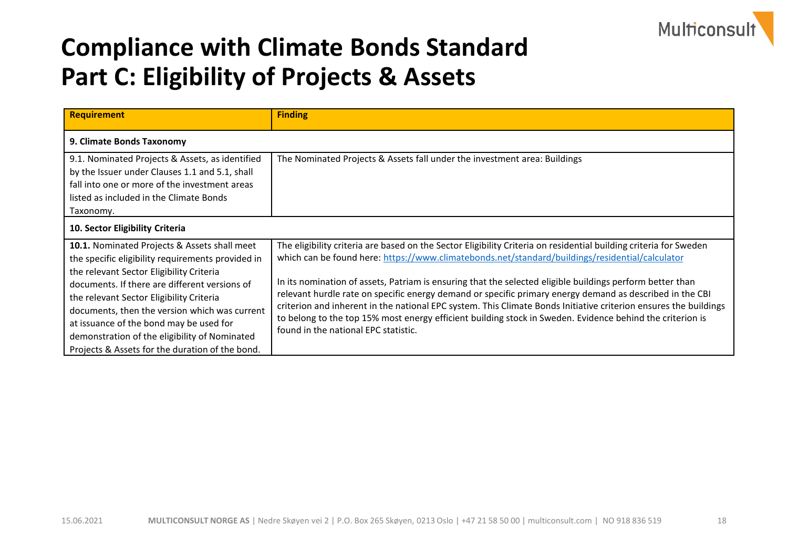

#### **Compliance with Climate Bonds Standard Part C: Eligibility of Projects & Assets**

| <b>Requirement</b>                                                                                                                                                                                                                                                                                                                                                                                                                                | <b>Finding</b>                                                                                                                                                                                                                                                                                                                                                                                                                                                                                                                                                                                                                                                                                                         |
|---------------------------------------------------------------------------------------------------------------------------------------------------------------------------------------------------------------------------------------------------------------------------------------------------------------------------------------------------------------------------------------------------------------------------------------------------|------------------------------------------------------------------------------------------------------------------------------------------------------------------------------------------------------------------------------------------------------------------------------------------------------------------------------------------------------------------------------------------------------------------------------------------------------------------------------------------------------------------------------------------------------------------------------------------------------------------------------------------------------------------------------------------------------------------------|
| 9. Climate Bonds Taxonomy                                                                                                                                                                                                                                                                                                                                                                                                                         |                                                                                                                                                                                                                                                                                                                                                                                                                                                                                                                                                                                                                                                                                                                        |
| 9.1. Nominated Projects & Assets, as identified<br>by the Issuer under Clauses 1.1 and 5.1, shall<br>fall into one or more of the investment areas<br>listed as included in the Climate Bonds<br>Taxonomy.                                                                                                                                                                                                                                        | The Nominated Projects & Assets fall under the investment area: Buildings                                                                                                                                                                                                                                                                                                                                                                                                                                                                                                                                                                                                                                              |
| 10. Sector Eligibility Criteria                                                                                                                                                                                                                                                                                                                                                                                                                   |                                                                                                                                                                                                                                                                                                                                                                                                                                                                                                                                                                                                                                                                                                                        |
| <b>10.1.</b> Nominated Projects & Assets shall meet<br>the specific eligibility requirements provided in<br>the relevant Sector Eligibility Criteria<br>documents. If there are different versions of<br>the relevant Sector Eligibility Criteria<br>documents, then the version which was current<br>at issuance of the bond may be used for<br>demonstration of the eligibility of Nominated<br>Projects & Assets for the duration of the bond. | The eligibility criteria are based on the Sector Eligibility Criteria on residential building criteria for Sweden<br>which can be found here: https://www.climatebonds.net/standard/buildings/residential/calculator<br>In its nomination of assets, Patriam is ensuring that the selected eligible buildings perform better than<br>relevant hurdle rate on specific energy demand or specific primary energy demand as described in the CBI<br>criterion and inherent in the national EPC system. This Climate Bonds Initiative criterion ensures the buildings<br>to belong to the top 15% most energy efficient building stock in Sweden. Evidence behind the criterion is<br>found in the national EPC statistic. |